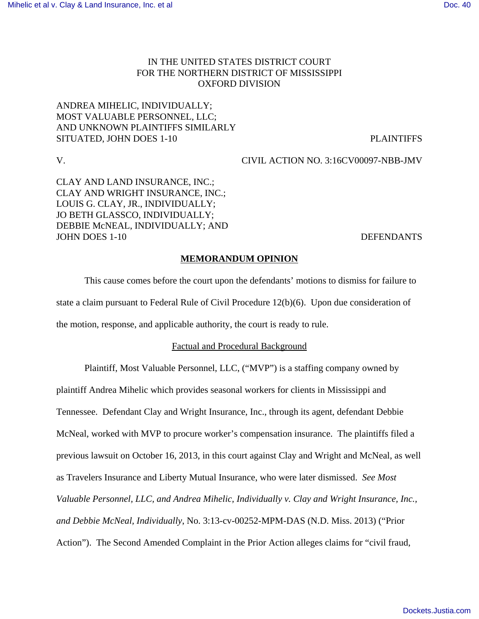# IN THE UNITED STATES DISTRICT COURT FOR THE NORTHERN DISTRICT OF MISSISSIPPI OXFORD DIVISION

# ANDREA MIHELIC, INDIVIDUALLY; MOST VALUABLE PERSONNEL, LLC; AND UNKNOWN PLAINTIFFS SIMILARLY SITUATED, JOHN DOES 1-10 PLAINTIFFS

V. CIVIL ACTION NO. 3:16CV00097-NBB-JMV

CLAY AND LAND INSURANCE, INC.; CLAY AND WRIGHT INSURANCE, INC.; LOUIS G. CLAY, JR., INDIVIDUALLY; JO BETH GLASSCO, INDIVIDUALLY; DEBBIE McNEAL, INDIVIDUALLY; AND JOHN DOES 1-10 DEFENDANTS

## **MEMORANDUM OPINION**

This cause comes before the court upon the defendants' motions to dismiss for failure to state a claim pursuant to Federal Rule of Civil Procedure 12(b)(6). Upon due consideration of the motion, response, and applicable authority, the court is ready to rule.

## Factual and Procedural Background

Plaintiff, Most Valuable Personnel, LLC, ("MVP") is a staffing company owned by plaintiff Andrea Mihelic which provides seasonal workers for clients in Mississippi and Tennessee. Defendant Clay and Wright Insurance, Inc., through its agent, defendant Debbie McNeal, worked with MVP to procure worker's compensation insurance. The plaintiffs filed a previous lawsuit on October 16, 2013, in this court against Clay and Wright and McNeal, as well as Travelers Insurance and Liberty Mutual Insurance, who were later dismissed. *See Most Valuable Personnel, LLC, and Andrea Mihelic, Individually v. Clay and Wright Insurance, Inc., and Debbie McNeal, Individually*, No. 3:13-cv-00252-MPM-DAS (N.D. Miss. 2013) ("Prior Action"). The Second Amended Complaint in the Prior Action alleges claims for "civil fraud,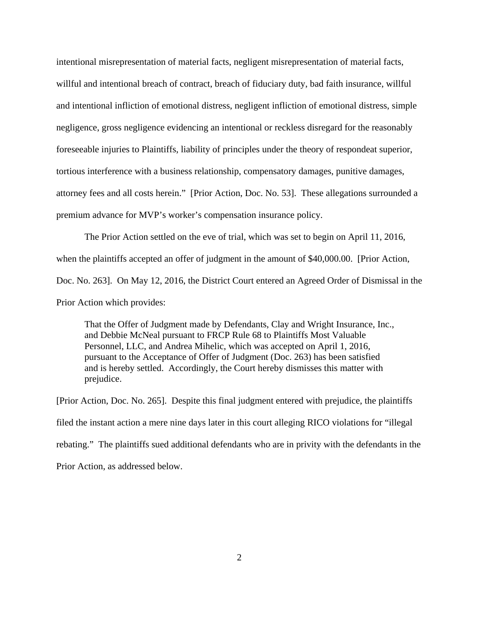intentional misrepresentation of material facts, negligent misrepresentation of material facts, willful and intentional breach of contract, breach of fiduciary duty, bad faith insurance, willful and intentional infliction of emotional distress, negligent infliction of emotional distress, simple negligence, gross negligence evidencing an intentional or reckless disregard for the reasonably foreseeable injuries to Plaintiffs, liability of principles under the theory of respondeat superior, tortious interference with a business relationship, compensatory damages, punitive damages, attorney fees and all costs herein." [Prior Action, Doc. No. 53]. These allegations surrounded a premium advance for MVP's worker's compensation insurance policy.

The Prior Action settled on the eve of trial, which was set to begin on April 11, 2016, when the plaintiffs accepted an offer of judgment in the amount of \$40,000.00. [Prior Action, Doc. No. 263]. On May 12, 2016, the District Court entered an Agreed Order of Dismissal in the Prior Action which provides:

That the Offer of Judgment made by Defendants, Clay and Wright Insurance, Inc., and Debbie McNeal pursuant to FRCP Rule 68 to Plaintiffs Most Valuable Personnel, LLC, and Andrea Mihelic, which was accepted on April 1, 2016, pursuant to the Acceptance of Offer of Judgment (Doc. 263) has been satisfied and is hereby settled. Accordingly, the Court hereby dismisses this matter with prejudice.

[Prior Action, Doc. No. 265]. Despite this final judgment entered with prejudice, the plaintiffs filed the instant action a mere nine days later in this court alleging RICO violations for "illegal rebating." The plaintiffs sued additional defendants who are in privity with the defendants in the Prior Action, as addressed below.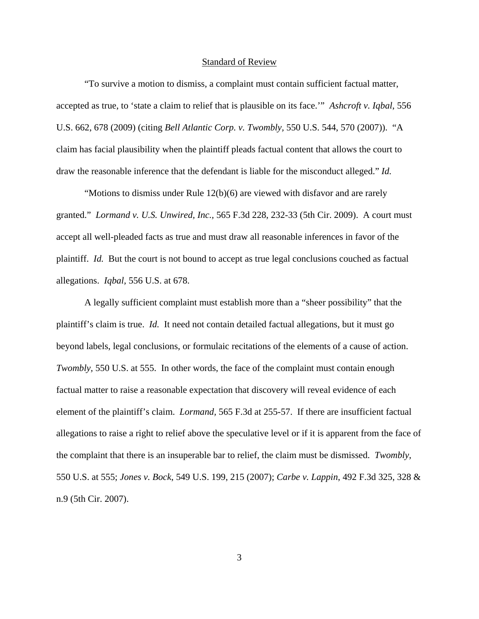#### Standard of Review

"To survive a motion to dismiss, a complaint must contain sufficient factual matter, accepted as true, to 'state a claim to relief that is plausible on its face.'" *Ashcroft v. Iqbal*, 556 U.S. 662, 678 (2009) (citing *Bell Atlantic Corp. v. Twombly,* 550 U.S. 544, 570 (2007)). "A claim has facial plausibility when the plaintiff pleads factual content that allows the court to draw the reasonable inference that the defendant is liable for the misconduct alleged." *Id.* 

"Motions to dismiss under Rule 12(b)(6) are viewed with disfavor and are rarely granted." *Lormand v. U.S. Unwired, Inc.,* 565 F.3d 228, 232-33 (5th Cir. 2009). A court must accept all well-pleaded facts as true and must draw all reasonable inferences in favor of the plaintiff. *Id.* But the court is not bound to accept as true legal conclusions couched as factual allegations. *Iqbal,* 556 U.S. at 678.

A legally sufficient complaint must establish more than a "sheer possibility" that the plaintiff's claim is true. *Id.* It need not contain detailed factual allegations, but it must go beyond labels, legal conclusions, or formulaic recitations of the elements of a cause of action. *Twombly,* 550 U.S. at 555. In other words, the face of the complaint must contain enough factual matter to raise a reasonable expectation that discovery will reveal evidence of each element of the plaintiff's claim. *Lormand,* 565 F.3d at 255-57. If there are insufficient factual allegations to raise a right to relief above the speculative level or if it is apparent from the face of the complaint that there is an insuperable bar to relief, the claim must be dismissed. *Twombly,* 550 U.S. at 555; *Jones v. Bock*, 549 U.S. 199, 215 (2007); *Carbe v. Lappin*, 492 F.3d 325, 328 & n.9 (5th Cir. 2007).

3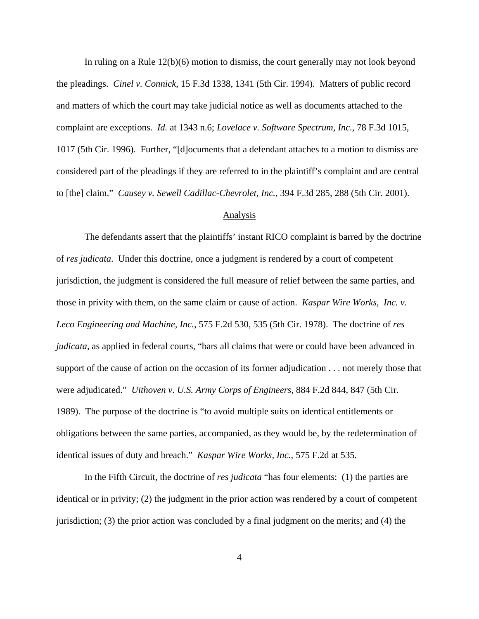In ruling on a Rule 12(b)(6) motion to dismiss, the court generally may not look beyond the pleadings. *Cinel v. Connick*, 15 F.3d 1338, 1341 (5th Cir. 1994). Matters of public record and matters of which the court may take judicial notice as well as documents attached to the complaint are exceptions. *Id.* at 1343 n.6; *Lovelace v. Software Spectrum, Inc.*, 78 F.3d 1015, 1017 (5th Cir. 1996). Further, "[d]ocuments that a defendant attaches to a motion to dismiss are considered part of the pleadings if they are referred to in the plaintiff's complaint and are central to [the] claim." *Causey v. Sewell Cadillac-Chevrolet, Inc.*, 394 F.3d 285, 288 (5th Cir. 2001).

#### Analysis

The defendants assert that the plaintiffs' instant RICO complaint is barred by the doctrine of *res judicata*. Under this doctrine, once a judgment is rendered by a court of competent jurisdiction, the judgment is considered the full measure of relief between the same parties, and those in privity with them, on the same claim or cause of action. *Kaspar Wire Works, Inc. v. Leco Engineering and Machine, Inc.*, 575 F.2d 530, 535 (5th Cir. 1978). The doctrine of *res judicata*, as applied in federal courts, "bars all claims that were or could have been advanced in support of the cause of action on the occasion of its former adjudication . . . not merely those that were adjudicated." *Uithoven v. U.S. Army Corps of Engineers*, 884 F.2d 844, 847 (5th Cir. 1989). The purpose of the doctrine is "to avoid multiple suits on identical entitlements or obligations between the same parties, accompanied, as they would be, by the redetermination of identical issues of duty and breach." *Kaspar Wire Works, Inc.*, 575 F.2d at 535.

In the Fifth Circuit, the doctrine of *res judicata* "has four elements: (1) the parties are identical or in privity; (2) the judgment in the prior action was rendered by a court of competent jurisdiction; (3) the prior action was concluded by a final judgment on the merits; and (4) the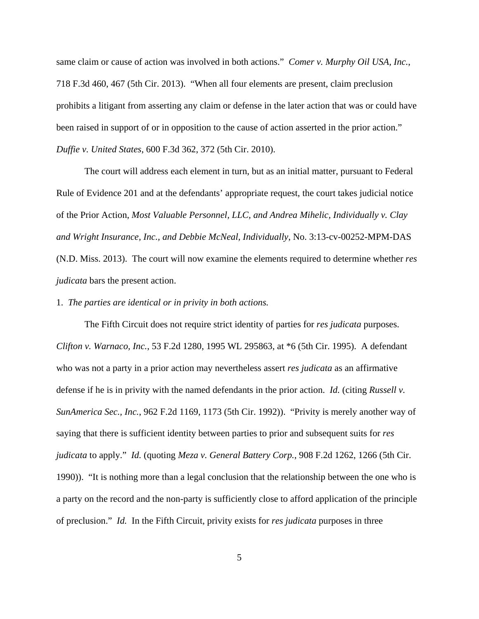same claim or cause of action was involved in both actions." *Comer v. Murphy Oil USA, Inc.*, 718 F.3d 460, 467 (5th Cir. 2013). "When all four elements are present, claim preclusion prohibits a litigant from asserting any claim or defense in the later action that was or could have been raised in support of or in opposition to the cause of action asserted in the prior action." *Duffie v. United States*, 600 F.3d 362, 372 (5th Cir. 2010).

The court will address each element in turn, but as an initial matter, pursuant to Federal Rule of Evidence 201 and at the defendants' appropriate request, the court takes judicial notice of the Prior Action, *Most Valuable Personnel, LLC, and Andrea Mihelic, Individually v. Clay and Wright Insurance, Inc., and Debbie McNeal, Individually*, No. 3:13-cv-00252-MPM-DAS (N.D. Miss. 2013). The court will now examine the elements required to determine whether *res judicata* bars the present action.

1. *The parties are identical or in privity in both actions.*

The Fifth Circuit does not require strict identity of parties for *res judicata* purposes. *Clifton v. Warnaco, Inc.*, 53 F.2d 1280, 1995 WL 295863, at \*6 (5th Cir. 1995). A defendant who was not a party in a prior action may nevertheless assert *res judicata* as an affirmative defense if he is in privity with the named defendants in the prior action. *Id.* (citing *Russell v. SunAmerica Sec., Inc.*, 962 F.2d 1169, 1173 (5th Cir. 1992)). "Privity is merely another way of saying that there is sufficient identity between parties to prior and subsequent suits for *res judicata* to apply." *Id.* (quoting *Meza v. General Battery Corp.*, 908 F.2d 1262, 1266 (5th Cir. 1990)). "It is nothing more than a legal conclusion that the relationship between the one who is a party on the record and the non-party is sufficiently close to afford application of the principle of preclusion." *Id.* In the Fifth Circuit, privity exists for *res judicata* purposes in three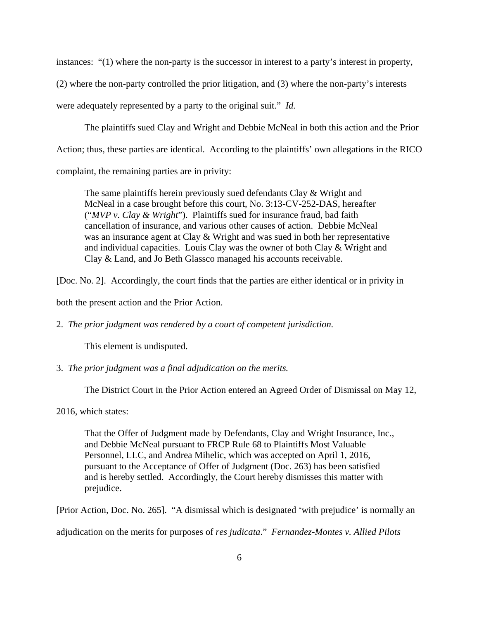instances: "(1) where the non-party is the successor in interest to a party's interest in property,

(2) where the non-party controlled the prior litigation, and (3) where the non-party's interests

were adequately represented by a party to the original suit." *Id.*

The plaintiffs sued Clay and Wright and Debbie McNeal in both this action and the Prior

Action; thus, these parties are identical. According to the plaintiffs' own allegations in the RICO

complaint, the remaining parties are in privity:

The same plaintiffs herein previously sued defendants Clay & Wright and McNeal in a case brought before this court, No. 3:13-CV-252-DAS, hereafter ("*MVP v. Clay & Wright*"). Plaintiffs sued for insurance fraud, bad faith cancellation of insurance, and various other causes of action. Debbie McNeal was an insurance agent at Clay & Wright and was sued in both her representative and individual capacities. Louis Clay was the owner of both Clay & Wright and Clay & Land, and Jo Beth Glassco managed his accounts receivable.

[Doc. No. 2]. Accordingly, the court finds that the parties are either identical or in privity in

both the present action and the Prior Action.

2. *The prior judgment was rendered by a court of competent jurisdiction.*

This element is undisputed.

3. *The prior judgment was a final adjudication on the merits.*

The District Court in the Prior Action entered an Agreed Order of Dismissal on May 12,

2016, which states:

That the Offer of Judgment made by Defendants, Clay and Wright Insurance, Inc., and Debbie McNeal pursuant to FRCP Rule 68 to Plaintiffs Most Valuable Personnel, LLC, and Andrea Mihelic, which was accepted on April 1, 2016, pursuant to the Acceptance of Offer of Judgment (Doc. 263) has been satisfied and is hereby settled. Accordingly, the Court hereby dismisses this matter with prejudice.

[Prior Action, Doc. No. 265]. "A dismissal which is designated 'with prejudice' is normally an

adjudication on the merits for purposes of *res judicata*." *Fernandez-Montes v. Allied Pilots*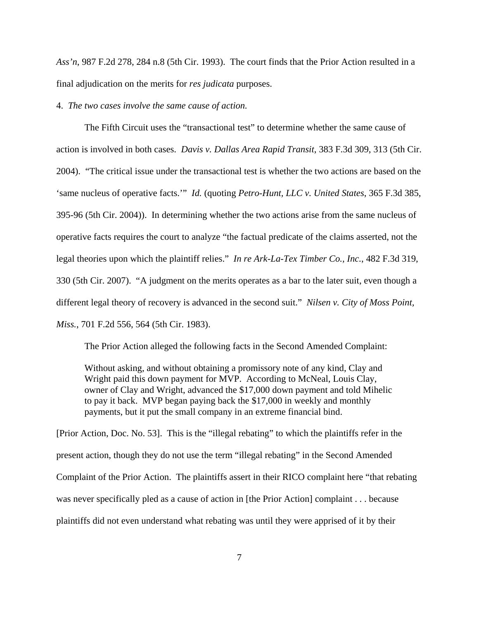*Ass'n*, 987 F.2d 278, 284 n.8 (5th Cir. 1993). The court finds that the Prior Action resulted in a final adjudication on the merits for *res judicata* purposes.

4. *The two cases involve the same cause of action.*

The Fifth Circuit uses the "transactional test" to determine whether the same cause of action is involved in both cases. *Davis v. Dallas Area Rapid Transit*, 383 F.3d 309, 313 (5th Cir. 2004). "The critical issue under the transactional test is whether the two actions are based on the 'same nucleus of operative facts.'" *Id.* (quoting *Petro-Hunt, LLC v. United States*, 365 F.3d 385, 395-96 (5th Cir. 2004)). In determining whether the two actions arise from the same nucleus of operative facts requires the court to analyze "the factual predicate of the claims asserted, not the legal theories upon which the plaintiff relies." *In re Ark-La-Tex Timber Co., Inc.*, 482 F.3d 319, 330 (5th Cir. 2007). "A judgment on the merits operates as a bar to the later suit, even though a different legal theory of recovery is advanced in the second suit." *Nilsen v. City of Moss Point, Miss.*, 701 F.2d 556, 564 (5th Cir. 1983).

The Prior Action alleged the following facts in the Second Amended Complaint:

Without asking, and without obtaining a promissory note of any kind, Clay and Wright paid this down payment for MVP. According to McNeal, Louis Clay, owner of Clay and Wright, advanced the \$17,000 down payment and told Mihelic to pay it back. MVP began paying back the \$17,000 in weekly and monthly payments, but it put the small company in an extreme financial bind.

[Prior Action, Doc. No. 53]. This is the "illegal rebating" to which the plaintiffs refer in the present action, though they do not use the term "illegal rebating" in the Second Amended Complaint of the Prior Action. The plaintiffs assert in their RICO complaint here "that rebating was never specifically pled as a cause of action in [the Prior Action] complaint . . . because plaintiffs did not even understand what rebating was until they were apprised of it by their